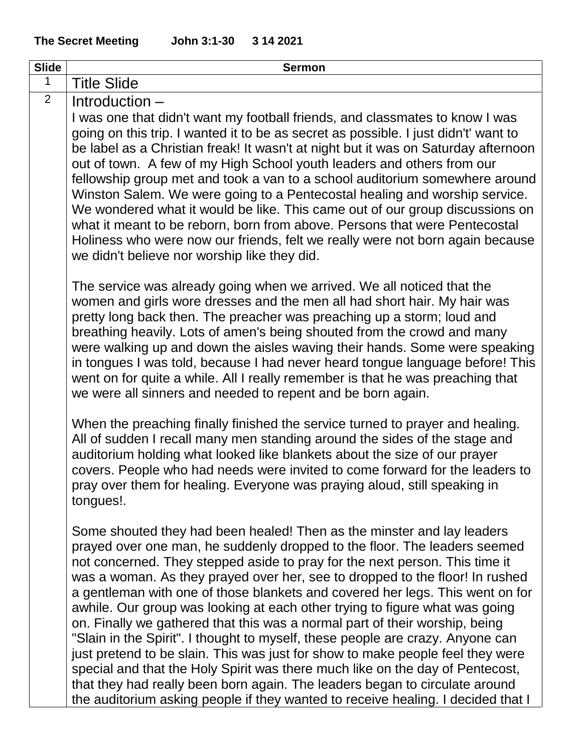| $\mathbf 1$<br><b>Title Slide</b><br>2<br>Introduction –<br>I was one that didn't want my football friends, and classmates to know I was<br>going on this trip. I wanted it to be as secret as possible. I just didn't' want to<br>be label as a Christian freak! It wasn't at night but it was on Saturday afternoon<br>out of town. A few of my High School youth leaders and others from our<br>fellowship group met and took a van to a school auditorium somewhere around<br>Winston Salem. We were going to a Pentecostal healing and worship service.<br>We wondered what it would be like. This came out of our group discussions on<br>what it meant to be reborn, born from above. Persons that were Pentecostal<br>Holiness who were now our friends, felt we really were not born again because<br>we didn't believe nor worship like they did.                                                                                                                               |  |
|-------------------------------------------------------------------------------------------------------------------------------------------------------------------------------------------------------------------------------------------------------------------------------------------------------------------------------------------------------------------------------------------------------------------------------------------------------------------------------------------------------------------------------------------------------------------------------------------------------------------------------------------------------------------------------------------------------------------------------------------------------------------------------------------------------------------------------------------------------------------------------------------------------------------------------------------------------------------------------------------|--|
|                                                                                                                                                                                                                                                                                                                                                                                                                                                                                                                                                                                                                                                                                                                                                                                                                                                                                                                                                                                           |  |
|                                                                                                                                                                                                                                                                                                                                                                                                                                                                                                                                                                                                                                                                                                                                                                                                                                                                                                                                                                                           |  |
| The service was already going when we arrived. We all noticed that the<br>women and girls wore dresses and the men all had short hair. My hair was<br>pretty long back then. The preacher was preaching up a storm; loud and                                                                                                                                                                                                                                                                                                                                                                                                                                                                                                                                                                                                                                                                                                                                                              |  |
| breathing heavily. Lots of amen's being shouted from the crowd and many<br>were walking up and down the aisles waving their hands. Some were speaking<br>in tongues I was told, because I had never heard tongue language before! This<br>went on for quite a while. All I really remember is that he was preaching that<br>we were all sinners and needed to repent and be born again.                                                                                                                                                                                                                                                                                                                                                                                                                                                                                                                                                                                                   |  |
| When the preaching finally finished the service turned to prayer and healing.<br>All of sudden I recall many men standing around the sides of the stage and<br>auditorium holding what looked like blankets about the size of our prayer<br>covers. People who had needs were invited to come forward for the leaders to<br>pray over them for healing. Everyone was praying aloud, still speaking in<br>tongues!.                                                                                                                                                                                                                                                                                                                                                                                                                                                                                                                                                                        |  |
| Some shouted they had been healed! Then as the minster and lay leaders<br>prayed over one man, he suddenly dropped to the floor. The leaders seemed<br>not concerned. They stepped aside to pray for the next person. This time it<br>was a woman. As they prayed over her, see to dropped to the floor! In rushed<br>a gentleman with one of those blankets and covered her legs. This went on for<br>awhile. Our group was looking at each other trying to figure what was going<br>on. Finally we gathered that this was a normal part of their worship, being<br>"Slain in the Spirit". I thought to myself, these people are crazy. Anyone can<br>just pretend to be slain. This was just for show to make people feel they were<br>special and that the Holy Spirit was there much like on the day of Pentecost,<br>that they had really been born again. The leaders began to circulate around<br>the auditorium asking people if they wanted to receive healing. I decided that I |  |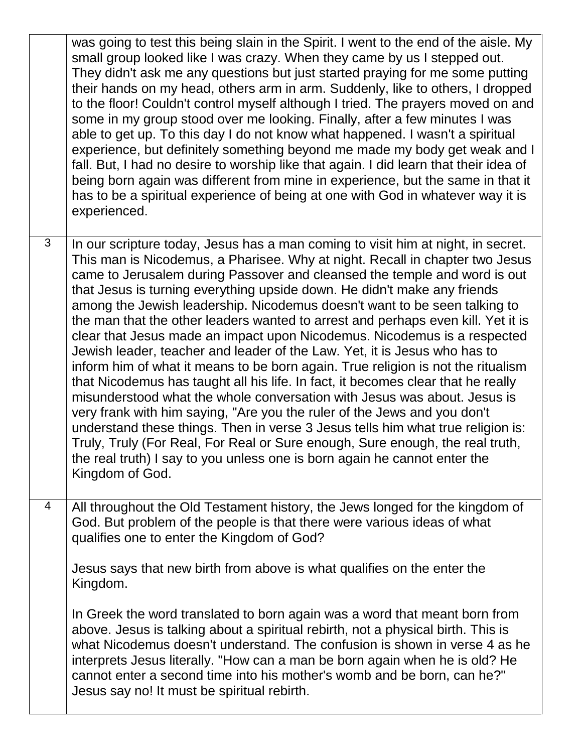|   | was going to test this being slain in the Spirit. I went to the end of the aisle. My<br>small group looked like I was crazy. When they came by us I stepped out.<br>They didn't ask me any questions but just started praying for me some putting<br>their hands on my head, others arm in arm. Suddenly, like to others, I dropped<br>to the floor! Couldn't control myself although I tried. The prayers moved on and<br>some in my group stood over me looking. Finally, after a few minutes I was<br>able to get up. To this day I do not know what happened. I wasn't a spiritual<br>experience, but definitely something beyond me made my body get weak and I<br>fall. But, I had no desire to worship like that again. I did learn that their idea of<br>being born again was different from mine in experience, but the same in that it<br>has to be a spiritual experience of being at one with God in whatever way it is<br>experienced.                                                                                                                                                                                                                                                                                                     |
|---|---------------------------------------------------------------------------------------------------------------------------------------------------------------------------------------------------------------------------------------------------------------------------------------------------------------------------------------------------------------------------------------------------------------------------------------------------------------------------------------------------------------------------------------------------------------------------------------------------------------------------------------------------------------------------------------------------------------------------------------------------------------------------------------------------------------------------------------------------------------------------------------------------------------------------------------------------------------------------------------------------------------------------------------------------------------------------------------------------------------------------------------------------------------------------------------------------------------------------------------------------------|
| 3 | In our scripture today, Jesus has a man coming to visit him at night, in secret.<br>This man is Nicodemus, a Pharisee. Why at night. Recall in chapter two Jesus<br>came to Jerusalem during Passover and cleansed the temple and word is out<br>that Jesus is turning everything upside down. He didn't make any friends<br>among the Jewish leadership. Nicodemus doesn't want to be seen talking to<br>the man that the other leaders wanted to arrest and perhaps even kill. Yet it is<br>clear that Jesus made an impact upon Nicodemus. Nicodemus is a respected<br>Jewish leader, teacher and leader of the Law. Yet, it is Jesus who has to<br>inform him of what it means to be born again. True religion is not the ritualism<br>that Nicodemus has taught all his life. In fact, it becomes clear that he really<br>misunderstood what the whole conversation with Jesus was about. Jesus is<br>very frank with him saying, "Are you the ruler of the Jews and you don't<br>understand these things. Then in verse 3 Jesus tells him what true religion is:<br>Truly, Truly (For Real, For Real or Sure enough, Sure enough, the real truth,<br>the real truth) I say to you unless one is born again he cannot enter the<br>Kingdom of God. |
| 4 | All throughout the Old Testament history, the Jews longed for the kingdom of<br>God. But problem of the people is that there were various ideas of what<br>qualifies one to enter the Kingdom of God?<br>Jesus says that new birth from above is what qualifies on the enter the<br>Kingdom.<br>In Greek the word translated to born again was a word that meant born from<br>above. Jesus is talking about a spiritual rebirth, not a physical birth. This is<br>what Nicodemus doesn't understand. The confusion is shown in verse 4 as he                                                                                                                                                                                                                                                                                                                                                                                                                                                                                                                                                                                                                                                                                                            |
|   | interprets Jesus literally. "How can a man be born again when he is old? He<br>cannot enter a second time into his mother's womb and be born, can he?"<br>Jesus say no! It must be spiritual rebirth.                                                                                                                                                                                                                                                                                                                                                                                                                                                                                                                                                                                                                                                                                                                                                                                                                                                                                                                                                                                                                                                   |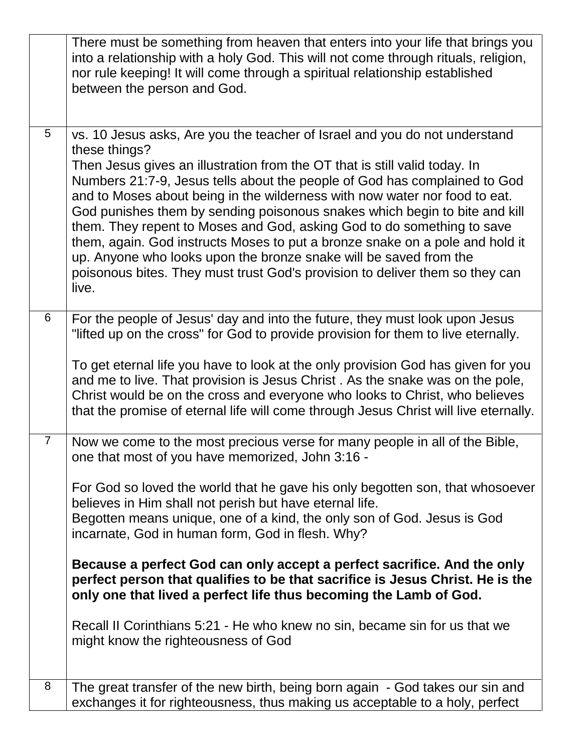|                | There must be something from heaven that enters into your life that brings you<br>into a relationship with a holy God. This will not come through rituals, religion,<br>nor rule keeping! It will come through a spiritual relationship established<br>between the person and God.                                                                                                                                                                                                                                                                                                                                                                                                                                                                               |
|----------------|------------------------------------------------------------------------------------------------------------------------------------------------------------------------------------------------------------------------------------------------------------------------------------------------------------------------------------------------------------------------------------------------------------------------------------------------------------------------------------------------------------------------------------------------------------------------------------------------------------------------------------------------------------------------------------------------------------------------------------------------------------------|
| 5              | vs. 10 Jesus asks, Are you the teacher of Israel and you do not understand<br>these things?<br>Then Jesus gives an illustration from the OT that is still valid today. In<br>Numbers 21:7-9, Jesus tells about the people of God has complained to God<br>and to Moses about being in the wilderness with now water nor food to eat.<br>God punishes them by sending poisonous snakes which begin to bite and kill<br>them. They repent to Moses and God, asking God to do something to save<br>them, again. God instructs Moses to put a bronze snake on a pole and hold it<br>up. Anyone who looks upon the bronze snake will be saved from the<br>poisonous bites. They must trust God's provision to deliver them so they can<br>live.                       |
| 6              | For the people of Jesus' day and into the future, they must look upon Jesus<br>"lifted up on the cross" for God to provide provision for them to live eternally.<br>To get eternal life you have to look at the only provision God has given for you<br>and me to live. That provision is Jesus Christ. As the snake was on the pole,<br>Christ would be on the cross and everyone who looks to Christ, who believes<br>that the promise of eternal life will come through Jesus Christ will live eternally.                                                                                                                                                                                                                                                     |
| $\overline{7}$ | Now we come to the most precious verse for many people in all of the Bible,<br>one that most of you have memorized, John 3:16 -<br>For God so loved the world that he gave his only begotten son, that whosoever<br>believes in Him shall not perish but have eternal life.<br>Begotten means unique, one of a kind, the only son of God. Jesus is God<br>incarnate, God in human form, God in flesh. Why?<br>Because a perfect God can only accept a perfect sacrifice. And the only<br>perfect person that qualifies to be that sacrifice is Jesus Christ. He is the<br>only one that lived a perfect life thus becoming the Lamb of God.<br>Recall II Corinthians 5:21 - He who knew no sin, became sin for us that we<br>might know the righteousness of God |
| 8              | The great transfer of the new birth, being born again - God takes our sin and<br>exchanges it for righteousness, thus making us acceptable to a holy, perfect                                                                                                                                                                                                                                                                                                                                                                                                                                                                                                                                                                                                    |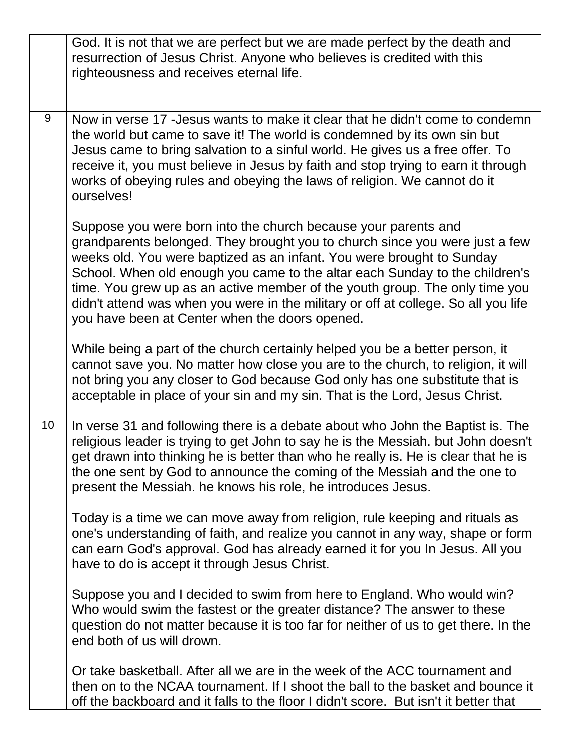|    | God. It is not that we are perfect but we are made perfect by the death and<br>resurrection of Jesus Christ. Anyone who believes is credited with this<br>righteousness and receives eternal life.                                                                                                                                                                                                                                                                                                                           |
|----|------------------------------------------------------------------------------------------------------------------------------------------------------------------------------------------------------------------------------------------------------------------------------------------------------------------------------------------------------------------------------------------------------------------------------------------------------------------------------------------------------------------------------|
| 9  | Now in verse 17 - Jesus wants to make it clear that he didn't come to condemn<br>the world but came to save it! The world is condemned by its own sin but<br>Jesus came to bring salvation to a sinful world. He gives us a free offer. To<br>receive it, you must believe in Jesus by faith and stop trying to earn it through<br>works of obeying rules and obeying the laws of religion. We cannot do it<br>ourselves!                                                                                                    |
|    | Suppose you were born into the church because your parents and<br>grandparents belonged. They brought you to church since you were just a few<br>weeks old. You were baptized as an infant. You were brought to Sunday<br>School. When old enough you came to the altar each Sunday to the children's<br>time. You grew up as an active member of the youth group. The only time you<br>didn't attend was when you were in the military or off at college. So all you life<br>you have been at Center when the doors opened. |
|    | While being a part of the church certainly helped you be a better person, it<br>cannot save you. No matter how close you are to the church, to religion, it will<br>not bring you any closer to God because God only has one substitute that is<br>acceptable in place of your sin and my sin. That is the Lord, Jesus Christ.                                                                                                                                                                                               |
| 10 | In verse 31 and following there is a debate about who John the Baptist is. The<br>religious leader is trying to get John to say he is the Messiah. but John doesn't<br>get drawn into thinking he is better than who he really is. He is clear that he is<br>the one sent by God to announce the coming of the Messiah and the one to<br>present the Messiah. he knows his role, he introduces Jesus.                                                                                                                        |
|    | Today is a time we can move away from religion, rule keeping and rituals as<br>one's understanding of faith, and realize you cannot in any way, shape or form<br>can earn God's approval. God has already earned it for you In Jesus. All you<br>have to do is accept it through Jesus Christ.                                                                                                                                                                                                                               |
|    | Suppose you and I decided to swim from here to England. Who would win?<br>Who would swim the fastest or the greater distance? The answer to these<br>question do not matter because it is too far for neither of us to get there. In the<br>end both of us will drown.                                                                                                                                                                                                                                                       |
|    | Or take basketball. After all we are in the week of the ACC tournament and<br>then on to the NCAA tournament. If I shoot the ball to the basket and bounce it<br>off the backboard and it falls to the floor I didn't score. But isn't it better that                                                                                                                                                                                                                                                                        |